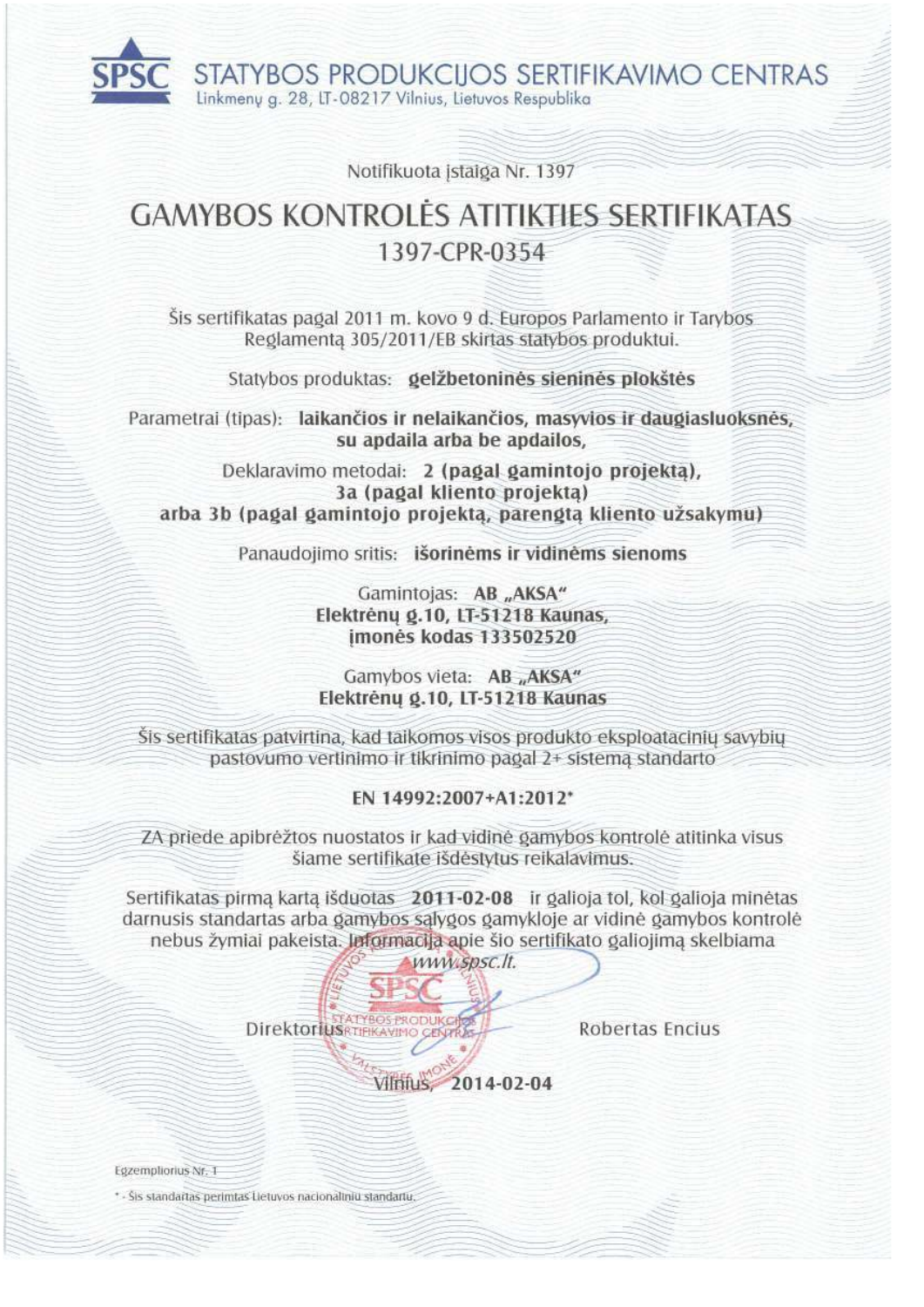STATYBOS PRODUKCIJOS SERTIFIKAVIMO CENTRAS Linkmenu g. 28, LT-08217 Vilnius, Lietuvos Respublika

Notifikuota istaiga Nr. 1397

# **GAMYBOS KONTROLES ATITIKTIES SERTIFIKATAS** 1397-CPR-0354

Šis sertifikatas pagal 2011 m. kovo 9 d. Europos Parlamento ir Tarybos Reglamenta 305/2011/EB skirtas statybos produktui.

Statybos produktas: gelžbetoninės sieninės plokštės

Parametrai (tipas): laikančios ir nelaikančios, masyvios ir daugiasluoksnės, su apdaila arba be apdailos,

Deklaravimo metodai: 2 (pagal gamintojo projekta), 3a (pagal kliento projekta) arba 3b (pagal gamintojo projekta, parengta kliento užsakymu)

Panaudojimo sritis: išorinėms ir vidinėms sienoms

Gamintojas: AB "AKSA" Elektrėnų g.10, LT-51218 Kaunas, imonės kodas 133502520

Gamybos vieta: AB "AKSA" Elektrény g.10, LT-51218 Kaunas

Šis sertifikatas patvirtina, kad taikomos visos produkto eksploatacinių savybių pastovumo vertinimo ir tikrinimo pagal 2+ sistema standarto

## EN 14992:2007+A1:2012\*

ZA priede apibrėžtos nuostatos ir kad vidinė gamybos kontrolė atitinka visus šiame sertifikate išdėstytus reikalavimus.

Sertifikatas pirmą kartą išduotas 2011-02-08 ir galioja tol, kol galioja minėtas darnusis standartas arba gamybos sąlygos gamykloje ar vidinė gamybos kontrolė nebus žymiai pakeista. Informacija apie šio sertifikato galiojimą skelbiama

www.spsc.lt. Direktorius FTFIKAVIMO

Robertas Encius

Vilnius 2014-02-04

Egzempliorius Nr. 1

\* - Šis standartas perimtas Lietuvos nacionaliniu standartu.